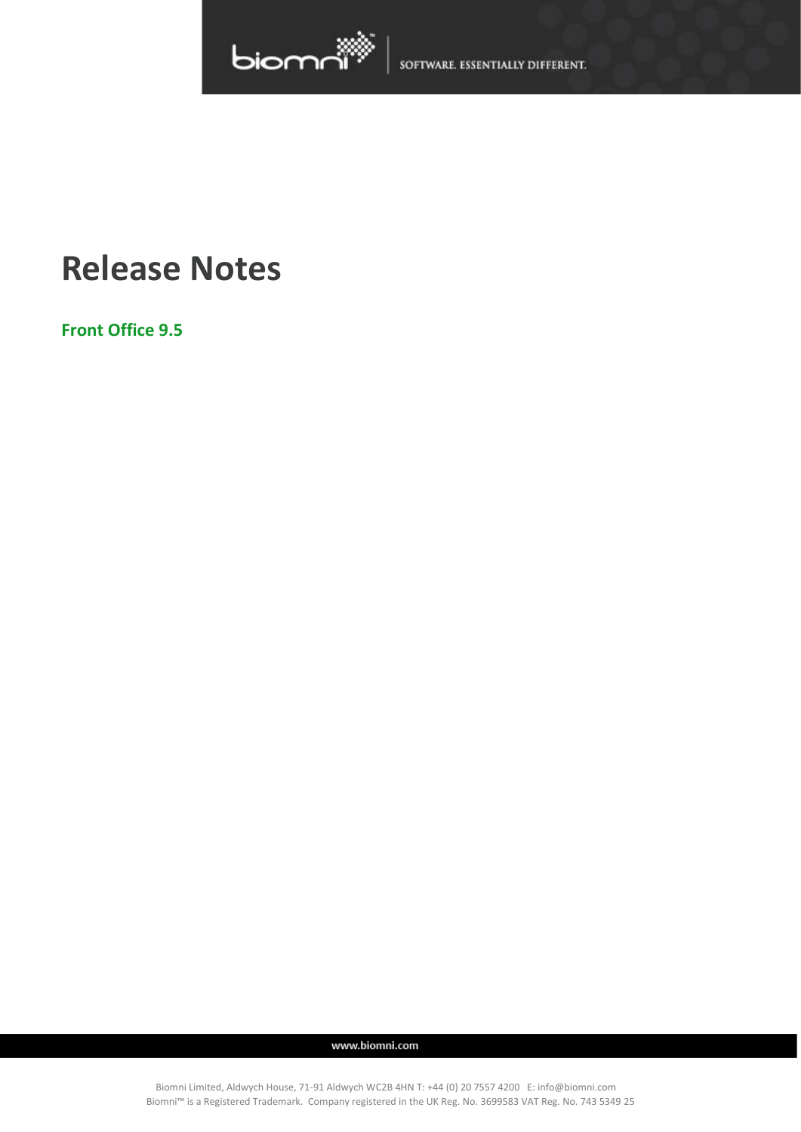

SOFTWARE. ESSENTIALLY DIFFERENT.

# **Release Notes**

**Front Office 9.5**

www.biomni.com

Biomni Limited, Aldwych House, 71-91 Aldwych WC2B 4HN T: +44 (0) 20 7557 4200 E: info@biomni.com Biomni™ is a Registered Trademark. Company registered in the UK Reg. No. 3699583 VAT Reg. No. 743 5349 25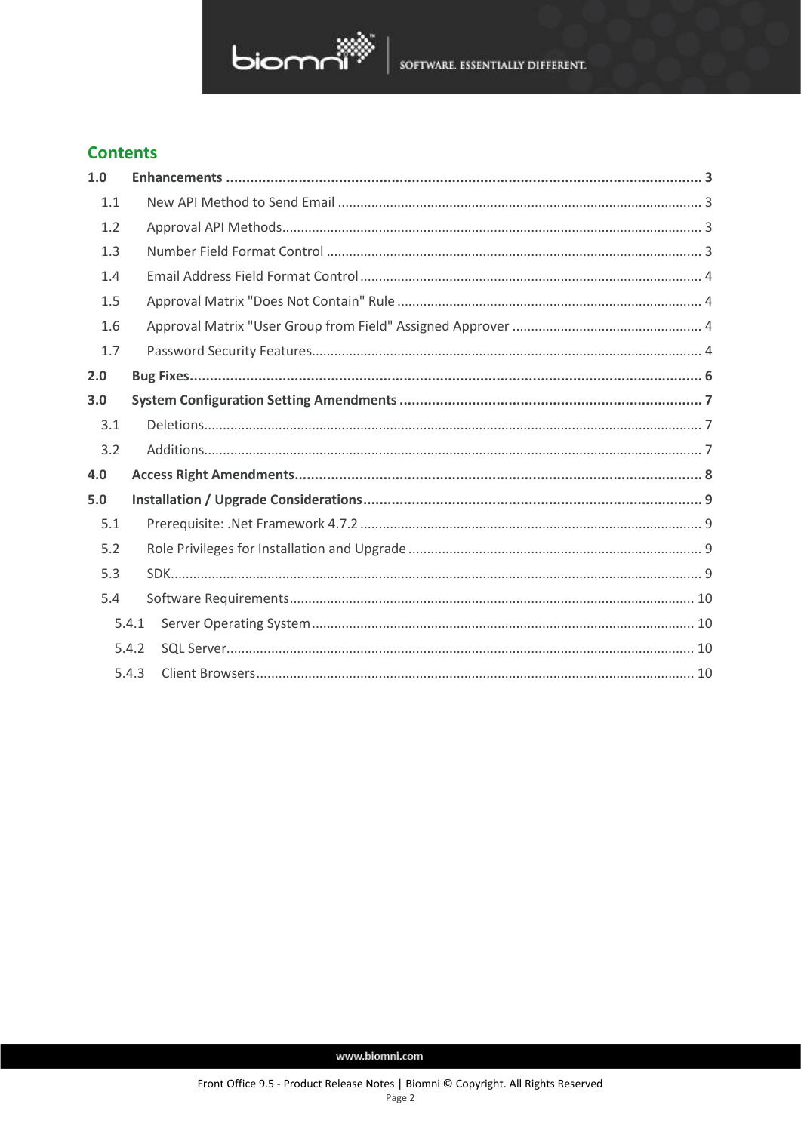

## **Contents**

| 1.0 |       |  |
|-----|-------|--|
| 1.1 |       |  |
| 1.2 |       |  |
| 1.3 |       |  |
| 1.4 |       |  |
| 1.5 |       |  |
| 1.6 |       |  |
| 1.7 |       |  |
| 2.0 |       |  |
| 3.0 |       |  |
| 3.1 |       |  |
| 3.2 |       |  |
| 4.0 |       |  |
| 5.0 |       |  |
| 5.1 |       |  |
| 5.2 |       |  |
| 5.3 |       |  |
| 5.4 |       |  |
|     | 5.4.1 |  |
|     | 5.4.2 |  |
|     | 5.4.3 |  |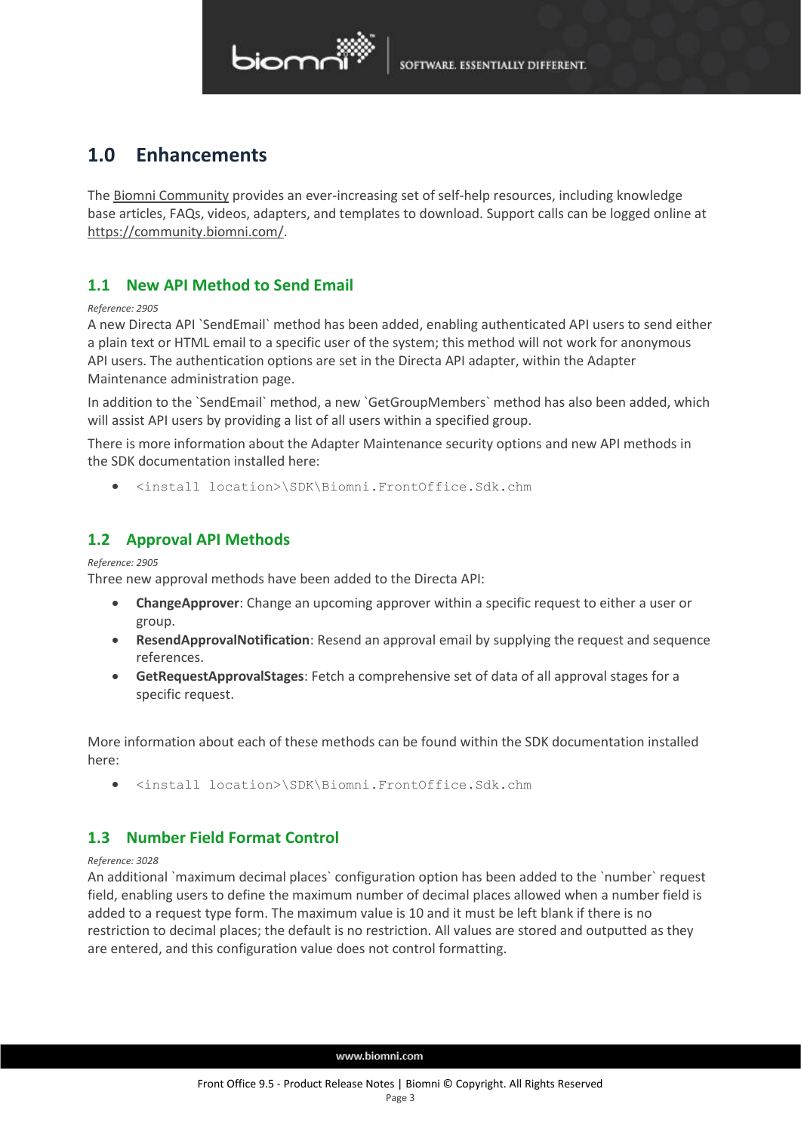# biomr

## <span id="page-2-0"></span>**1.0 Enhancements**

The [Biomni Community](https://community.biomni.com/) provides an ever-increasing set of self-help resources, including knowledge base articles, FAQs, videos, adapters, and templates to download. Support calls can be logged online at [https://community.biomni.com/.](https://community.biomni.com/)

## <span id="page-2-1"></span>**1.1 New API Method to Send Email**

### *Reference: 2905*

A new Directa API `SendEmail` method has been added, enabling authenticated API users to send either a plain text or HTML email to a specific user of the system; this method will not work for anonymous API users. The authentication options are set in the Directa API adapter, within the Adapter Maintenance administration page.

In addition to the `SendEmail` method, a new `GetGroupMembers` method has also been added, which will assist API users by providing a list of all users within a specified group.

There is more information about the Adapter Maintenance security options and new API methods in the SDK documentation installed here:

• <install location>\SDK\Biomni.FrontOffice.Sdk.chm

## <span id="page-2-2"></span>**1.2 Approval API Methods**

### *Reference: 2905*

Three new approval methods have been added to the Directa API:

- **ChangeApprover**: Change an upcoming approver within a specific request to either a user or group.
- **ResendApprovalNotification**: Resend an approval email by supplying the request and sequence references.
- **GetRequestApprovalStages**: Fetch a comprehensive set of data of all approval stages for a specific request.

More information about each of these methods can be found within the SDK documentation installed here:

• <install location>\SDK\Biomni.FrontOffice.Sdk.chm

## <span id="page-2-3"></span>**1.3 Number Field Format Control**

### *Reference: 3028*

An additional `maximum decimal places` configuration option has been added to the `number` request field, enabling users to define the maximum number of decimal places allowed when a number field is added to a request type form. The maximum value is 10 and it must be left blank if there is no restriction to decimal places; the default is no restriction. All values are stored and outputted as they are entered, and this configuration value does not control formatting.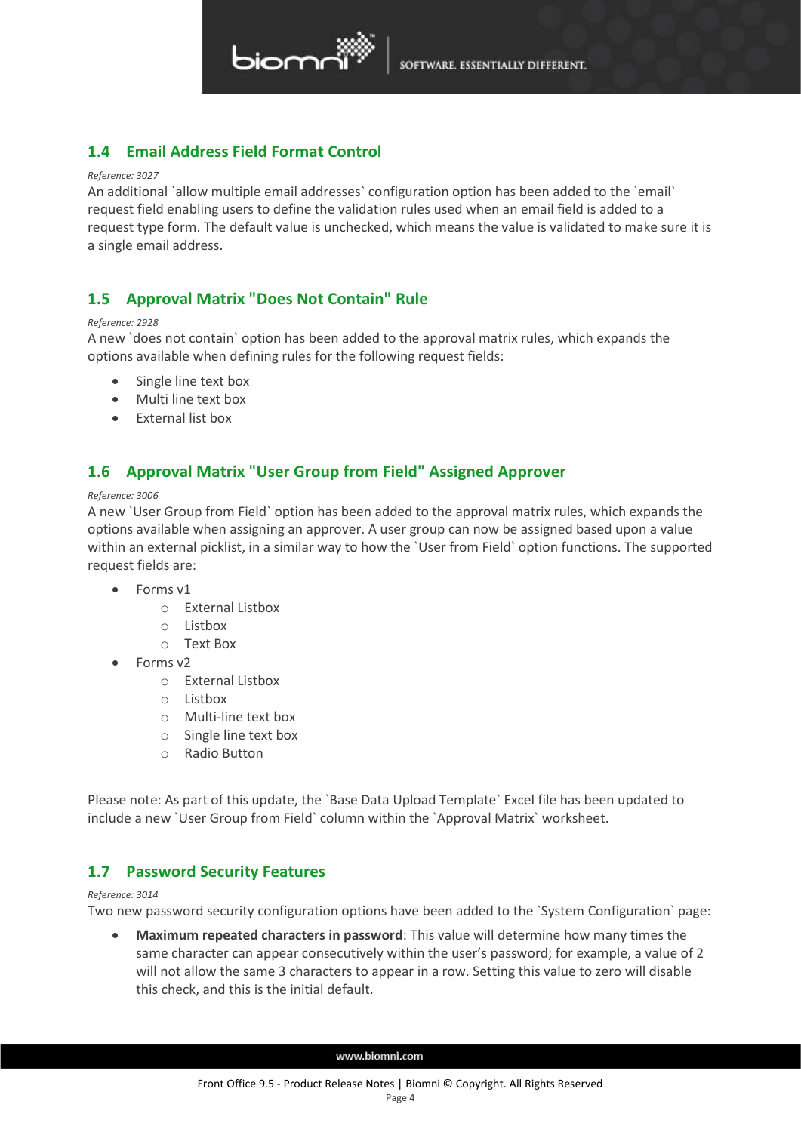

## <span id="page-3-0"></span>**1.4 Email Address Field Format Control**

### *Reference: 3027*

An additional `allow multiple email addresses` configuration option has been added to the `email` request field enabling users to define the validation rules used when an email field is added to a request type form. The default value is unchecked, which means the value is validated to make sure it is a single email address.

## <span id="page-3-1"></span>**1.5 Approval Matrix "Does Not Contain" Rule**

### *Reference: 2928*

A new `does not contain` option has been added to the approval matrix rules, which expands the options available when defining rules for the following request fields:

- Single line text box
- Multi line text box
- External list box

## <span id="page-3-2"></span>**1.6 Approval Matrix "User Group from Field" Assigned Approver**

### *Reference: 3006*

A new `User Group from Field` option has been added to the approval matrix rules, which expands the options available when assigning an approver. A user group can now be assigned based upon a value within an external picklist, in a similar way to how the `User from Field` option functions. The supported request fields are:

- Forms v1
	- o External Listbox
	- o Listbox
	- o Text Box
- Forms v2
	- o External Listbox
	- o Listbox
	- o Multi-line text box
	- o Single line text box
	- o Radio Button

Please note: As part of this update, the `Base Data Upload Template` Excel file has been updated to include a new `User Group from Field` column within the `Approval Matrix` worksheet.

### <span id="page-3-3"></span>**1.7 Password Security Features**

### *Reference: 3014*

Two new password security configuration options have been added to the `System Configuration` page:

• **Maximum repeated characters in password**: This value will determine how many times the same character can appear consecutively within the user's password; for example, a value of 2 will not allow the same 3 characters to appear in a row. Setting this value to zero will disable this check, and this is the initial default.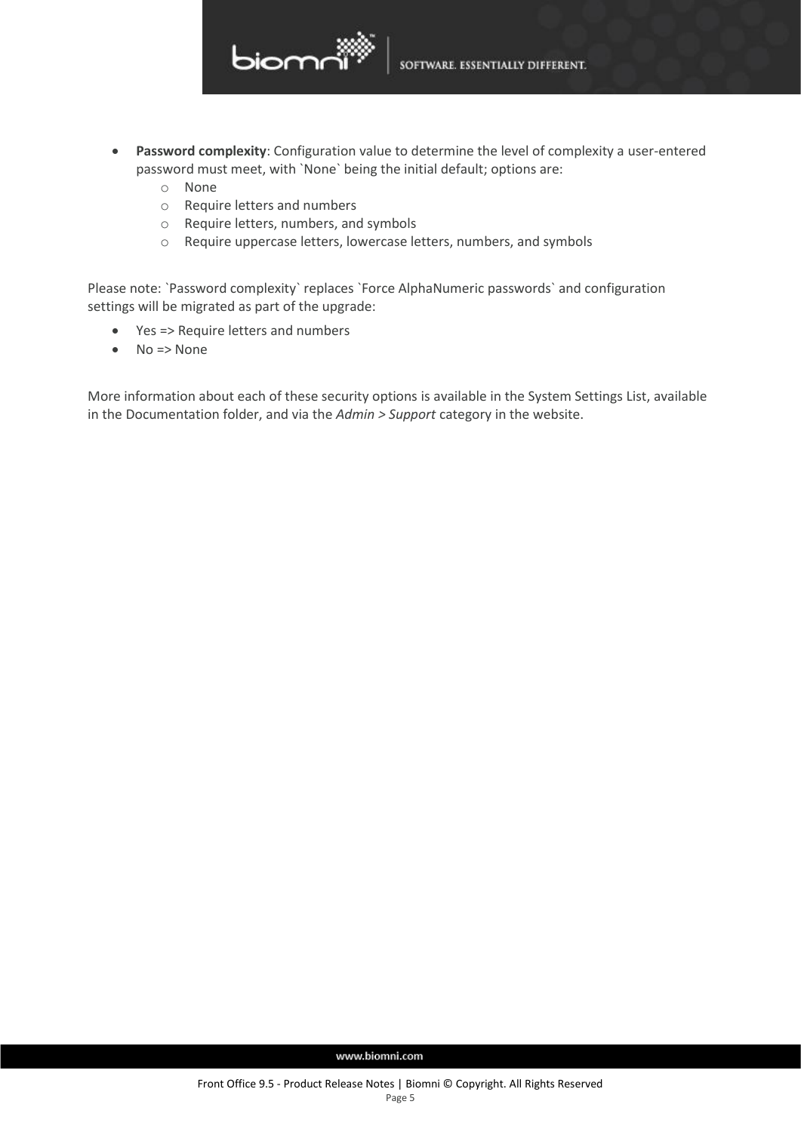

- **Password complexity**: Configuration value to determine the level of complexity a user-entered password must meet, with `None` being the initial default; options are:
	- o None
	- o Require letters and numbers
	- o Require letters, numbers, and symbols
	- o Require uppercase letters, lowercase letters, numbers, and symbols

Please note: `Password complexity` replaces `Force AlphaNumeric passwords` and configuration settings will be migrated as part of the upgrade:

- Yes => Require letters and numbers
- $\bullet$  No => None

More information about each of these security options is available in the System Settings List, available in the Documentation folder, and via the *Admin > Support* category in the website.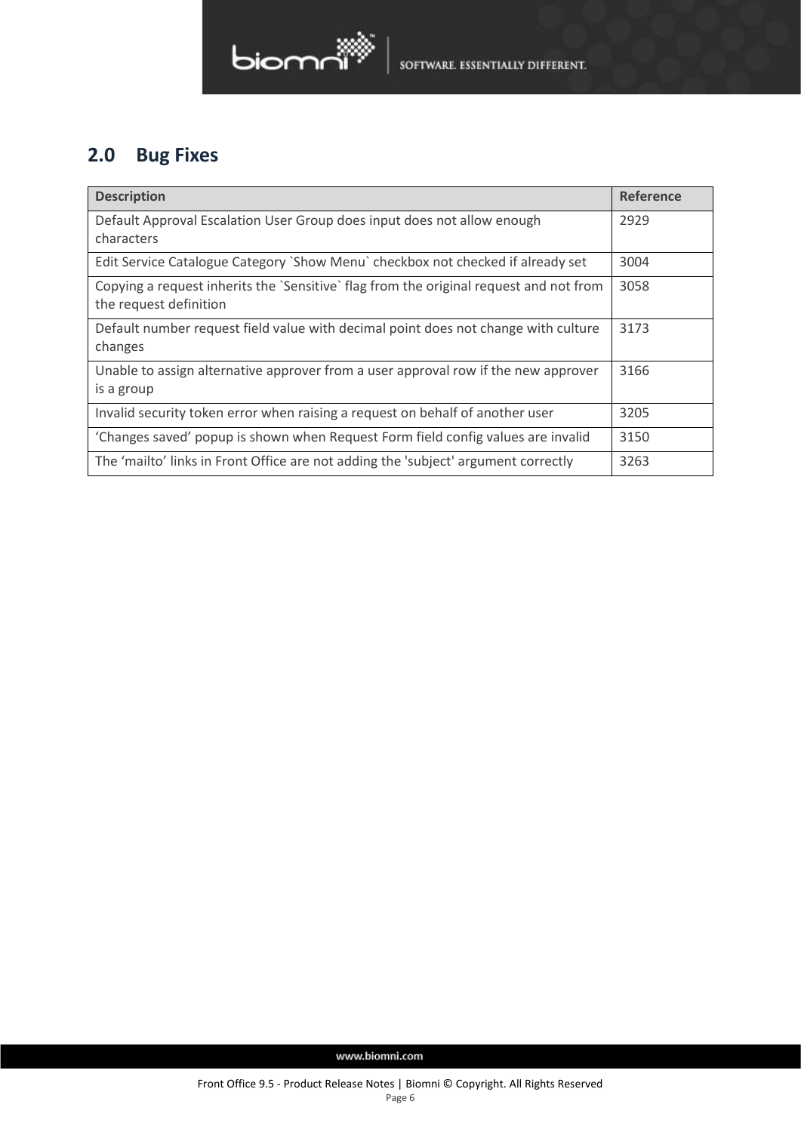# biomn

# <span id="page-5-0"></span>**2.0 Bug Fixes**

| <b>Description</b>                                                                                               | <b>Reference</b> |
|------------------------------------------------------------------------------------------------------------------|------------------|
| Default Approval Escalation User Group does input does not allow enough<br>characters                            | 2929             |
| Edit Service Catalogue Category `Show Menu` checkbox not checked if already set                                  | 3004             |
| Copying a request inherits the 'Sensitive' flag from the original request and not from<br>the request definition | 3058             |
| Default number request field value with decimal point does not change with culture<br>changes                    | 3173             |
| Unable to assign alternative approver from a user approval row if the new approver<br>is a group                 | 3166             |
| Invalid security token error when raising a request on behalf of another user                                    | 3205             |
| 'Changes saved' popup is shown when Request Form field config values are invalid                                 | 3150             |
| The 'mailto' links in Front Office are not adding the 'subject' argument correctly                               | 3263             |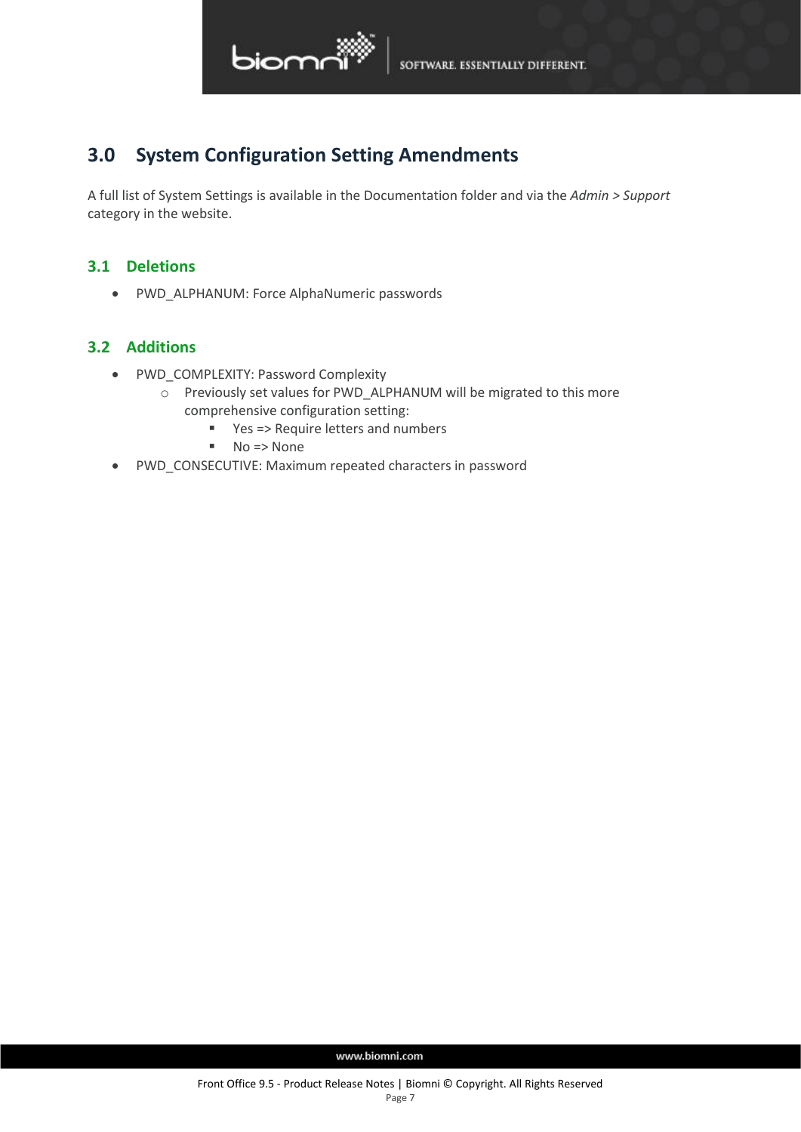

## <span id="page-6-0"></span>**3.0 System Configuration Setting Amendments**

A full list of System Settings is available in the Documentation folder and via the *Admin > Support* category in the website.

## <span id="page-6-1"></span>**3.1 Deletions**

• PWD\_ALPHANUM: Force AlphaNumeric passwords

## <span id="page-6-2"></span>**3.2 Additions**

- PWD\_COMPLEXITY: Password Complexity
	- o Previously set values for PWD\_ALPHANUM will be migrated to this more comprehensive configuration setting:
		- Yes => Require letters and numbers
		- No => None
- PWD\_CONSECUTIVE: Maximum repeated characters in password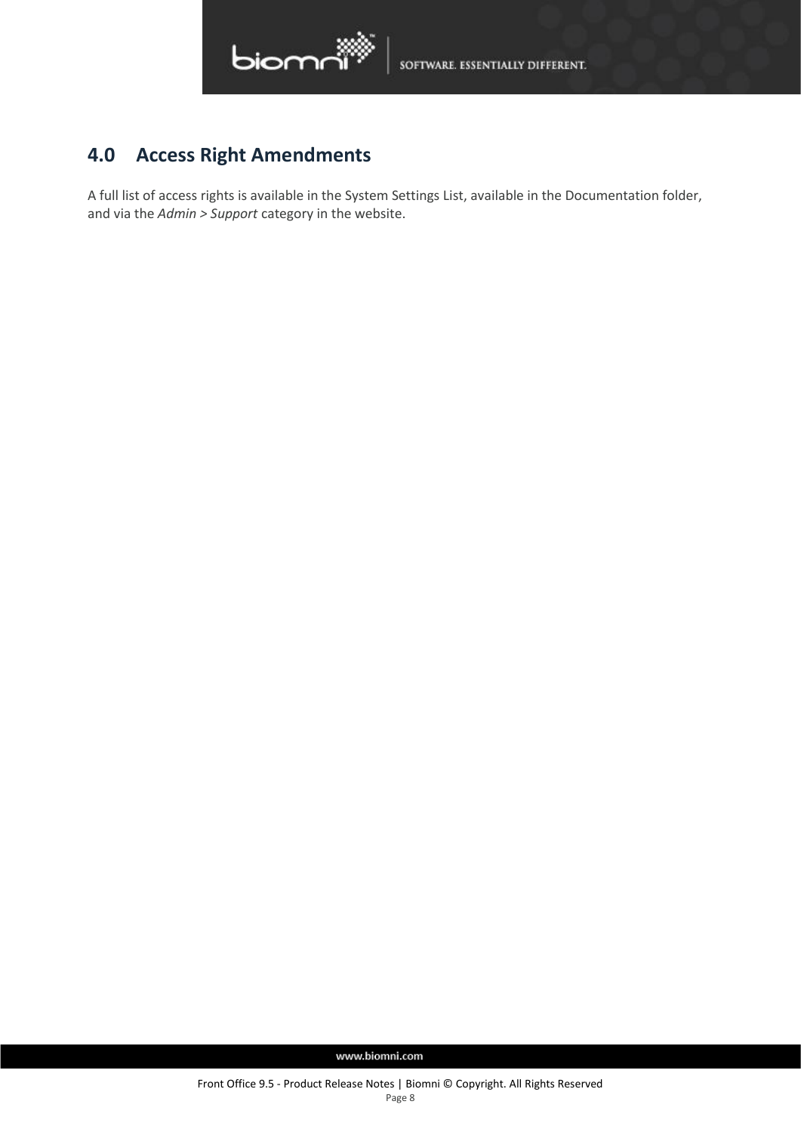

# <span id="page-7-0"></span>**4.0 Access Right Amendments**

A full list of access rights is available in the System Settings List, available in the Documentation folder, and via the *Admin > Support* category in the website.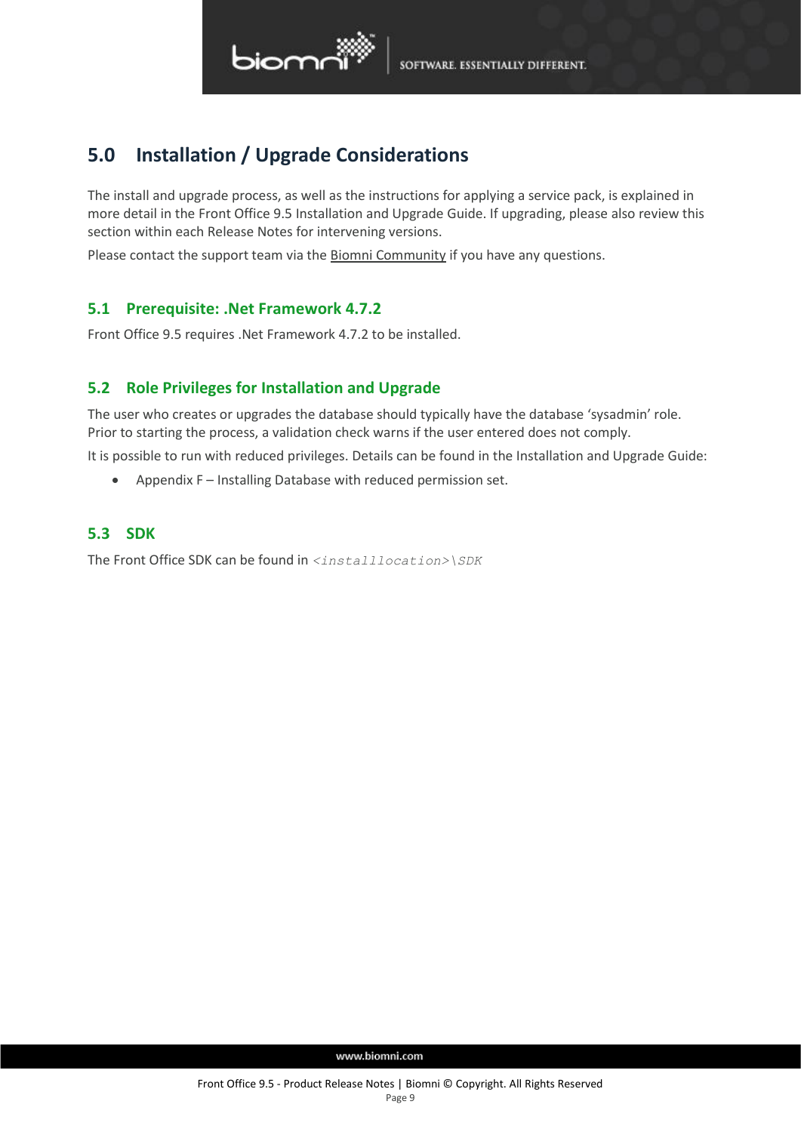

## <span id="page-8-0"></span>**5.0 Installation / Upgrade Considerations**

The install and upgrade process, as well as the instructions for applying a service pack, is explained in more detail in the Front Office 9.5 Installation and Upgrade Guide. If upgrading, please also review this section within each Release Notes for intervening versions.

<span id="page-8-1"></span>Please contact the support team via the **Biomni Community if you have any questions**.

### **5.1 Prerequisite: .Net Framework 4.7.2**

<span id="page-8-2"></span>Front Office 9.5 requires .Net Framework 4.7.2 to be installed.

## **5.2 Role Privileges for Installation and Upgrade**

The user who creates or upgrades the database should typically have the database 'sysadmin' role. Prior to starting the process, a validation check warns if the user entered does not comply.

It is possible to run with reduced privileges. Details can be found in the Installation and Upgrade Guide:

• Appendix F – Installing Database with reduced permission set.

### <span id="page-8-3"></span>**5.3 SDK**

The Front Office SDK can be found in *<installlocation>\SDK*